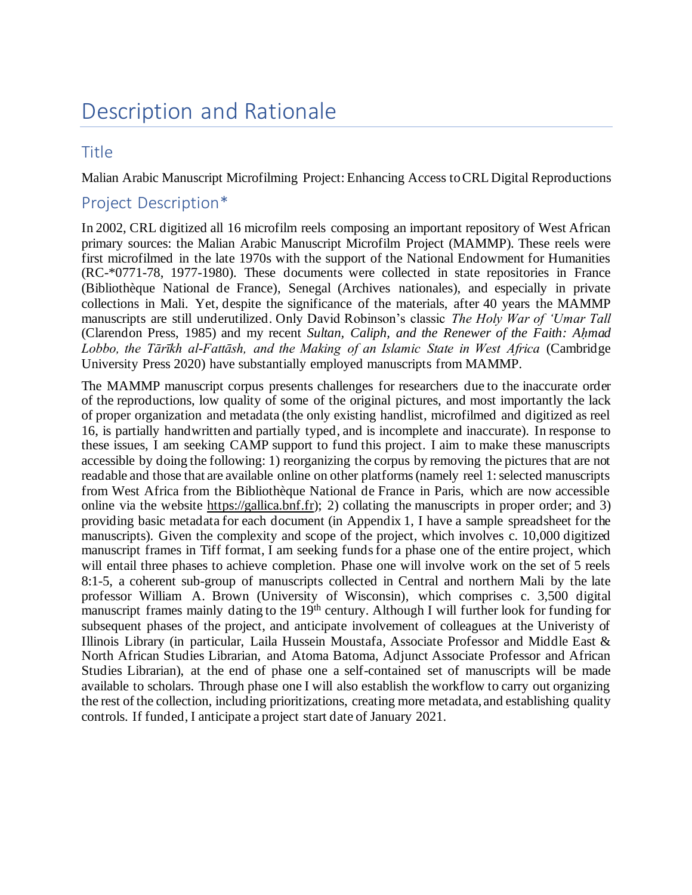# Description and Rationale

#### **Title**

Malian Arabic Manuscript Microfilming Project: Enhancing Access to CRL Digital Reproductions

### Project Description\*

In 2002, CRL digitized all 16 microfilm reels composing an important repository of West African primary sources: the Malian Arabic Manuscript Microfilm Project (MAMMP). These reels were first microfilmed in the late 1970s with the support of the National Endowment for Humanities (RC-\*0771-78, 1977-1980). These documents were collected in state repositories in France (Bibliothèque National de France), Senegal (Archives nationales), and especially in private collections in Mali. Yet, despite the significance of the materials, after 40 years the MAMMP manuscripts are still underutilized. Only David Robinson's classic *The Holy War of 'Umar Tall* (Clarendon Press, 1985) and my recent *Sultan, Caliph, and the Renewer of the Faith: Aḥmad Lobbo, the Tārīkh al-Fattāsh, and the Making of an Islamic State in West Africa* (Cambridge University Press 2020) have substantially employed manuscripts from MAMMP.

The MAMMP manuscript corpus presents challenges for researchers due to the inaccurate order of the reproductions, low quality of some of the original pictures, and most importantly the lack of proper organization and metadata (the only existing handlist, microfilmed and digitized as reel 16, is partially handwritten and partially typed, and is incomplete and inaccurate). In response to these issues, I am seeking CAMP support to fund this project. I aim to make these manuscripts accessible by doing the following: 1) reorganizing the corpus by removing the pictures that are not readable and those that are available online on other platforms (namely reel 1: selected manuscripts from West Africa from the Bibliothèque National de France in Paris, which are now accessible online via the website https://gallica.bnf.fr); 2) collating the manuscripts in proper order; and 3) providing basic metadata for each document (in Appendix 1, I have a sample spreadsheet for the manuscripts). Given the complexity and scope of the project, which involves c. 10,000 digitized manuscript frames in Tiff format, I am seeking funds for a phase one of the entire project, which will entail three phases to achieve completion. Phase one will involve work on the set of 5 reels 8:1-5, a coherent sub-group of manuscripts collected in Central and northern Mali by the late professor William A. Brown (University of Wisconsin), which comprises c. 3,500 digital manuscript frames mainly dating to the 19<sup>th</sup> century. Although I will further look for funding for subsequent phases of the project, and anticipate involvement of colleagues at the Univeristy of Illinois Library (in particular, Laila Hussein Moustafa, Associate Professor and Middle East & North African Studies Librarian, and Atoma Batoma, Adjunct Associate Professor and African Studies Librarian), at the end of phase one a self-contained set of manuscripts will be made available to scholars. Through phase one I will also establish the workflow to carry out organizing the rest of the collection, including prioritizations, creating more metadata, and establishing quality controls. If funded, I anticipate a project start date of January 2021.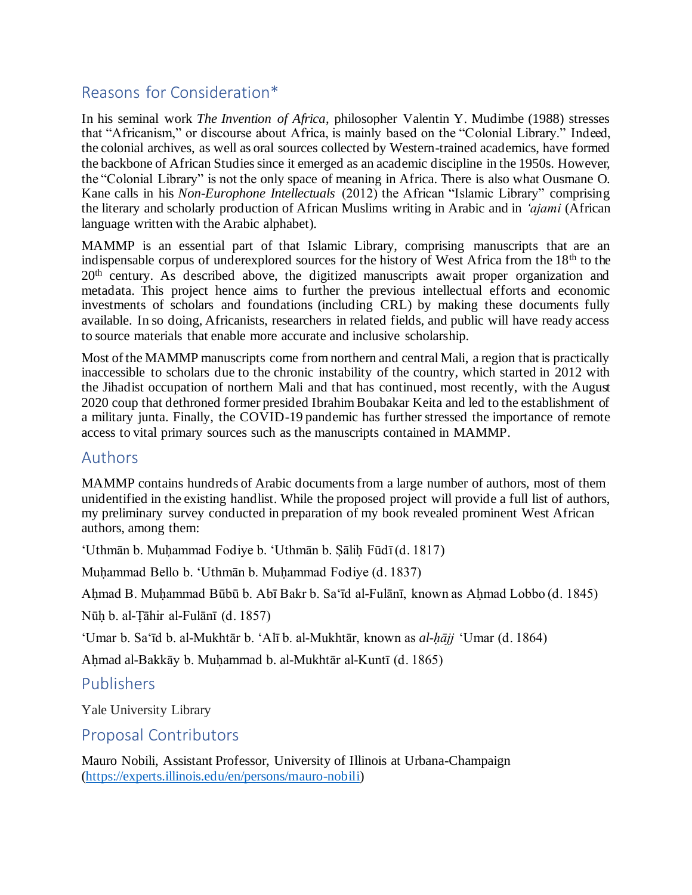# Reasons for Consideration\*

In his seminal work *The Invention of Africa*, philosopher Valentin Y. Mudimbe (1988) stresses that "Africanism," or discourse about Africa, is mainly based on the "Colonial Library." Indeed, the colonial archives, as well as oral sources collected by Western-trained academics, have formed the backbone of African Studies since it emerged as an academic discipline in the 1950s. However, the "Colonial Library" is not the only space of meaning in Africa. There is also what Ousmane O. Kane calls in his *Non-Europhone Intellectuals* (2012) the African "Islamic Library" comprising the literary and scholarly production of African Muslims writing in Arabic and in *'ajami* (African language written with the Arabic alphabet).

MAMMP is an essential part of that Islamic Library, comprising manuscripts that are an indispensable corpus of underexplored sources for the history of West Africa from the  $18<sup>th</sup>$  to the 20<sup>th</sup> century. As described above, the digitized manuscripts await proper organization and metadata. This project hence aims to further the previous intellectual efforts and economic investments of scholars and foundations (including CRL) by making these documents fully available. In so doing, Africanists, researchers in related fields, and public will have ready access to source materials that enable more accurate and inclusive scholarship.

Most of the MAMMP manuscripts come from northern and central Mali, a region that is practically inaccessible to scholars due to the chronic instability of the country, which started in 2012 with the Jihadist occupation of northern Mali and that has continued, most recently, with the August 2020 coup that dethroned former presided Ibrahim Boubakar Keita and led to the establishment of a military junta. Finally, the COVID-19 pandemic has further stressed the importance of remote access to vital primary sources such as the manuscripts contained in MAMMP.

### Authors

MAMMP contains hundreds of Arabic documents from a large number of authors, most of them unidentified in the existing handlist. While the proposed project will provide a full list of authors, my preliminary survey conducted in preparation of my book revealed prominent West African authors, among them:

'Uthmān b. Muḥammad Fodiye b. 'Uthmān b. Ṣāliḥ Fūdī (d. 1817)

Muḥammad Bello b. 'Uthmān b. Muḥammad Fodiye (d. 1837)

Aḥmad B. Muḥammad Būbū b. Abī Bakr b. Sa'īd al-Fulānī, known as Aḥmad Lobbo (d. 1845)

Nūḥ b. al-Ṭāhir al-Fulānī (d. 1857)

'Umar b. Sa'īd b. al-Mukhtār b. 'Alī b. al-Mukhtār, known as *al-ḥājj* 'Umar (d. 1864)

Aḥmad al-Bakkāy b. Muḥammad b. al-Mukhtār al-Kuntī (d. 1865)

#### Publishers

Yale University Library

#### Proposal Contributors

Mauro Nobili, Assistant Professor, University of Illinois at Urbana-Champaign (https://experts.illinois.edu/en/persons/mauro-nobili)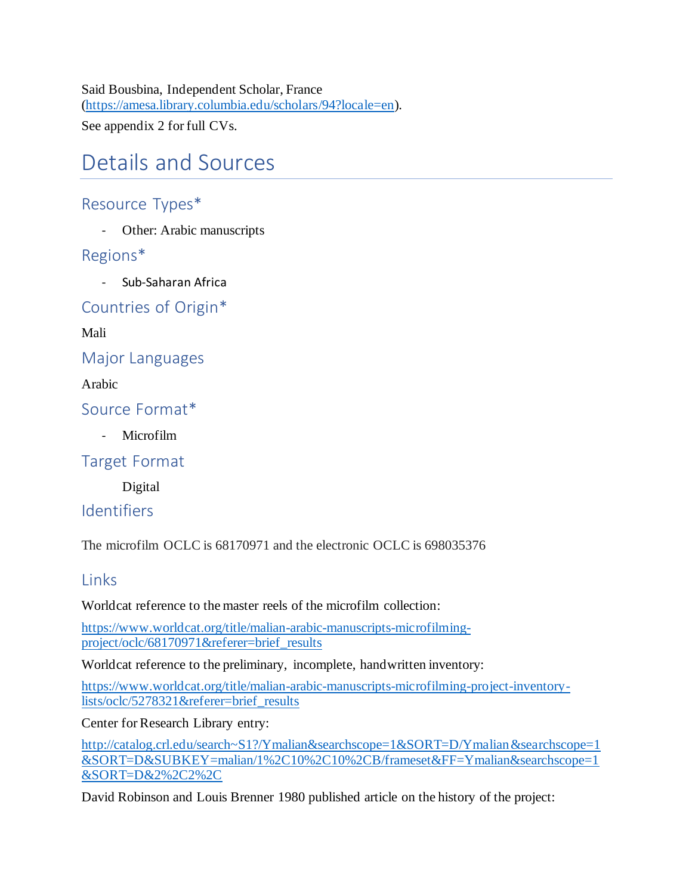Said Bousbina, Independent Scholar, France (https://amesa.library.columbia.edu/scholars/94?locale=en).

See appendix 2 for full CVs.

# Details and Sources

# Resource Types\*

- Other: Arabic manuscripts

## Regions\*

- Sub-Saharan Africa

Countries of Origin\*

Mali

Major Languages

Arabic

Source Format\*

Microfilm

Target Format

Digital

### Identifiers

The microfilm OCLC is 68170971 and the electronic OCLC is 698035376

### **Links**

Worldcat reference to the master reels of the microfilm collection:

https://www.worldcat.org/title/malian-arabic-manuscripts-microfilmingproject/oclc/68170971&referer=brief\_results

Worldcat reference to the preliminary, incomplete, handwritten inventory:

https://www.worldcat.org/title/malian-arabic-manuscripts-microfilming-project-inventorylists/oclc/5278321&referer=brief\_results

Center for Research Library entry:

http://catalog.crl.edu/search~S1?/Ymalian&searchscope=1&SORT=D/Ymalian&searchscope=1 &SORT=D&SUBKEY=malian/1%2C10%2C10%2CB/frameset&FF=Ymalian&searchscope=1 &SORT=D&2%2C2%2C

David Robinson and Louis Brenner 1980 published article on the history of the project: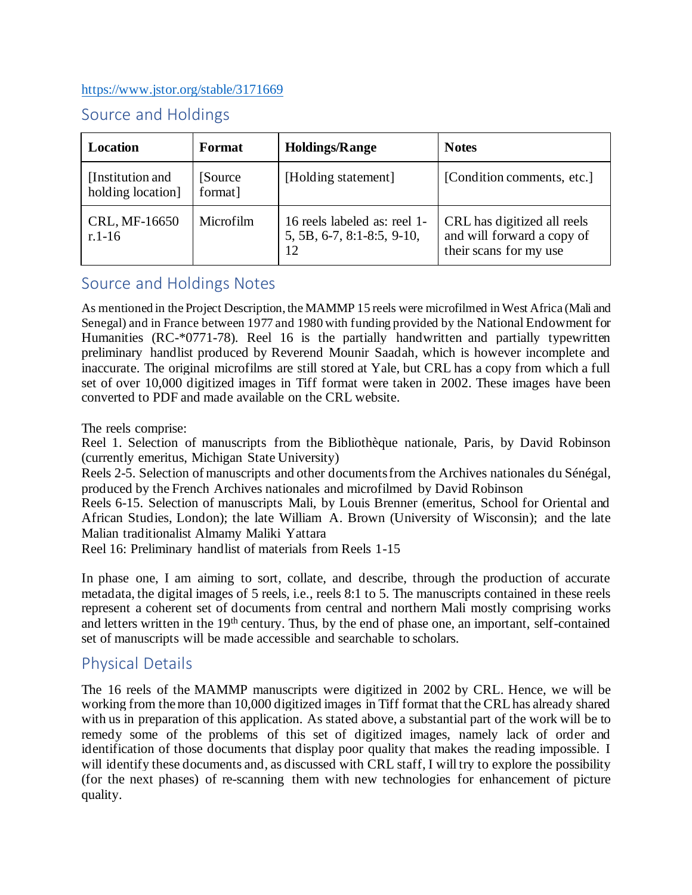#### https://www.jstor.org/stable/3171669

# Source and Holdings

| <b>Location</b>                        | Format              | <b>Holdings/Range</b>                                            | <b>Notes</b>                                                                        |
|----------------------------------------|---------------------|------------------------------------------------------------------|-------------------------------------------------------------------------------------|
| [Institution and]<br>holding location] | [Source]<br>format] | [Holding statement]                                              | [Condition comments, etc.]                                                          |
| CRL, MF-16650<br>$r.1-16$              | Microfilm           | 16 reels labeled as: reel 1-<br>5, 5B, 6-7, 8:1-8:5, 9-10,<br>12 | CRL has digitized all reels<br>and will forward a copy of<br>their scans for my use |

# Source and Holdings Notes

As mentioned in the Project Description, the MAMMP 15 reels were microfilmed in West Africa (Mali and Senegal) and in France between 1977 and 1980 with funding provided by the National Endowment for Humanities (RC-\*0771-78). Reel 16 is the partially handwritten and partially typewritten preliminary handlist produced by Reverend Mounir Saadah, which is however incomplete and inaccurate. The original microfilms are still stored at Yale, but CRL has a copy from which a full set of over 10,000 digitized images in Tiff format were taken in 2002. These images have been converted to PDF and made available on the CRL website.

The reels comprise:

Reel 1. Selection of manuscripts from the Bibliothèque nationale, Paris, by David Robinson (currently emeritus, Michigan State University)

Reels 2-5. Selection of manuscripts and other documents from the Archives nationales du Sénégal, produced by the French Archives nationales and microfilmed by David Robinson

Reels 6-15. Selection of manuscripts Mali, by Louis Brenner (emeritus, School for Oriental and African Studies, London); the late William A. Brown (University of Wisconsin); and the late Malian traditionalist Almamy Maliki Yattara

Reel 16: Preliminary handlist of materials from Reels 1-15

In phase one, I am aiming to sort, collate, and describe, through the production of accurate metadata, the digital images of 5 reels, i.e., reels 8:1 to 5. The manuscripts contained in these reels represent a coherent set of documents from central and northern Mali mostly comprising works and letters written in the 19<sup>th</sup> century. Thus, by the end of phase one, an important, self-contained set of manuscripts will be made accessible and searchable to scholars.

# Physical Details

The 16 reels of the MAMMP manuscripts were digitized in 2002 by CRL. Hence, we will be working from themore than 10,000 digitized images in Tiff format that the CRLhas already shared with us in preparation of this application. As stated above, a substantial part of the work will be to remedy some of the problems of this set of digitized images, namely lack of order and identification of those documents that display poor quality that makes the reading impossible. I will identify these documents and, as discussed with CRL staff, I will try to explore the possibility (for the next phases) of re-scanning them with new technologies for enhancement of picture quality.